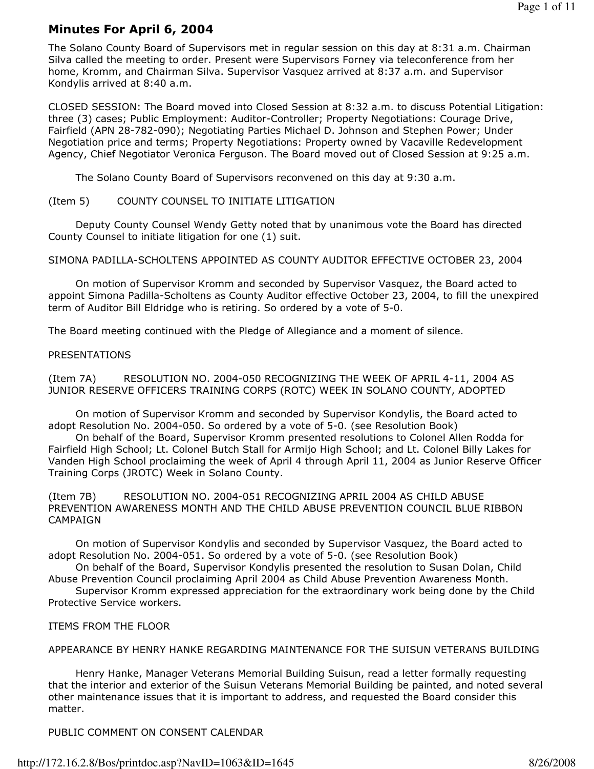# Minutes For April 6, 2004

The Solano County Board of Supervisors met in regular session on this day at 8:31 a.m. Chairman Silva called the meeting to order. Present were Supervisors Forney via teleconference from her home, Kromm, and Chairman Silva. Supervisor Vasquez arrived at 8:37 a.m. and Supervisor Kondylis arrived at 8:40 a.m.

CLOSED SESSION: The Board moved into Closed Session at 8:32 a.m. to discuss Potential Litigation: three (3) cases; Public Employment: Auditor-Controller; Property Negotiations: Courage Drive, Fairfield (APN 28-782-090); Negotiating Parties Michael D. Johnson and Stephen Power; Under Negotiation price and terms; Property Negotiations: Property owned by Vacaville Redevelopment Agency, Chief Negotiator Veronica Ferguson. The Board moved out of Closed Session at 9:25 a.m.

The Solano County Board of Supervisors reconvened on this day at 9:30 a.m.

## (Item 5) COUNTY COUNSEL TO INITIATE LITIGATION

 Deputy County Counsel Wendy Getty noted that by unanimous vote the Board has directed County Counsel to initiate litigation for one (1) suit.

SIMONA PADILLA-SCHOLTENS APPOINTED AS COUNTY AUDITOR EFFECTIVE OCTOBER 23, 2004

 On motion of Supervisor Kromm and seconded by Supervisor Vasquez, the Board acted to appoint Simona Padilla-Scholtens as County Auditor effective October 23, 2004, to fill the unexpired term of Auditor Bill Eldridge who is retiring. So ordered by a vote of 5-0.

The Board meeting continued with the Pledge of Allegiance and a moment of silence.

#### PRESENTATIONS

(Item 7A) RESOLUTION NO. 2004-050 RECOGNIZING THE WEEK OF APRIL 4-11, 2004 AS JUNIOR RESERVE OFFICERS TRAINING CORPS (ROTC) WEEK IN SOLANO COUNTY, ADOPTED

 On motion of Supervisor Kromm and seconded by Supervisor Kondylis, the Board acted to adopt Resolution No. 2004-050. So ordered by a vote of 5-0. (see Resolution Book)

 On behalf of the Board, Supervisor Kromm presented resolutions to Colonel Allen Rodda for Fairfield High School; Lt. Colonel Butch Stall for Armijo High School; and Lt. Colonel Billy Lakes for Vanden High School proclaiming the week of April 4 through April 11, 2004 as Junior Reserve Officer Training Corps (JROTC) Week in Solano County.

(Item 7B) RESOLUTION NO. 2004-051 RECOGNIZING APRIL 2004 AS CHILD ABUSE PREVENTION AWARENESS MONTH AND THE CHILD ABUSE PREVENTION COUNCIL BLUE RIBBON **CAMPAIGN** 

 On motion of Supervisor Kondylis and seconded by Supervisor Vasquez, the Board acted to adopt Resolution No. 2004-051. So ordered by a vote of 5-0. (see Resolution Book)

 On behalf of the Board, Supervisor Kondylis presented the resolution to Susan Dolan, Child Abuse Prevention Council proclaiming April 2004 as Child Abuse Prevention Awareness Month.

 Supervisor Kromm expressed appreciation for the extraordinary work being done by the Child Protective Service workers.

## ITEMS FROM THE FLOOR

## APPEARANCE BY HENRY HANKE REGARDING MAINTENANCE FOR THE SUISUN VETERANS BUILDING

 Henry Hanke, Manager Veterans Memorial Building Suisun, read a letter formally requesting that the interior and exterior of the Suisun Veterans Memorial Building be painted, and noted several other maintenance issues that it is important to address, and requested the Board consider this matter.

PUBLIC COMMENT ON CONSENT CALENDAR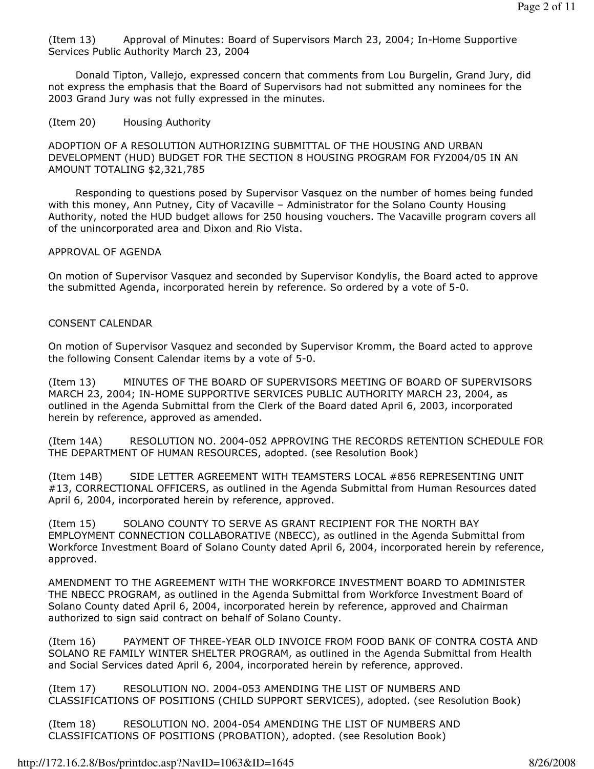(Item 13) Approval of Minutes: Board of Supervisors March 23, 2004; In-Home Supportive Services Public Authority March 23, 2004

 Donald Tipton, Vallejo, expressed concern that comments from Lou Burgelin, Grand Jury, did not express the emphasis that the Board of Supervisors had not submitted any nominees for the 2003 Grand Jury was not fully expressed in the minutes.

## (Item 20) Housing Authority

ADOPTION OF A RESOLUTION AUTHORIZING SUBMITTAL OF THE HOUSING AND URBAN DEVELOPMENT (HUD) BUDGET FOR THE SECTION 8 HOUSING PROGRAM FOR FY2004/05 IN AN AMOUNT TOTALING \$2,321,785

 Responding to questions posed by Supervisor Vasquez on the number of homes being funded with this money, Ann Putney, City of Vacaville – Administrator for the Solano County Housing Authority, noted the HUD budget allows for 250 housing vouchers. The Vacaville program covers all of the unincorporated area and Dixon and Rio Vista.

#### APPROVAL OF AGENDA

On motion of Supervisor Vasquez and seconded by Supervisor Kondylis, the Board acted to approve the submitted Agenda, incorporated herein by reference. So ordered by a vote of 5-0.

## CONSENT CALENDAR

On motion of Supervisor Vasquez and seconded by Supervisor Kromm, the Board acted to approve the following Consent Calendar items by a vote of 5-0.

(Item 13) MINUTES OF THE BOARD OF SUPERVISORS MEETING OF BOARD OF SUPERVISORS MARCH 23, 2004; IN-HOME SUPPORTIVE SERVICES PUBLIC AUTHORITY MARCH 23, 2004, as outlined in the Agenda Submittal from the Clerk of the Board dated April 6, 2003, incorporated herein by reference, approved as amended.

(Item 14A) RESOLUTION NO. 2004-052 APPROVING THE RECORDS RETENTION SCHEDULE FOR THE DEPARTMENT OF HUMAN RESOURCES, adopted. (see Resolution Book)

(Item 14B) SIDE LETTER AGREEMENT WITH TEAMSTERS LOCAL #856 REPRESENTING UNIT #13, CORRECTIONAL OFFICERS, as outlined in the Agenda Submittal from Human Resources dated April 6, 2004, incorporated herein by reference, approved.

(Item 15) SOLANO COUNTY TO SERVE AS GRANT RECIPIENT FOR THE NORTH BAY EMPLOYMENT CONNECTION COLLABORATIVE (NBECC), as outlined in the Agenda Submittal from Workforce Investment Board of Solano County dated April 6, 2004, incorporated herein by reference, approved.

AMENDMENT TO THE AGREEMENT WITH THE WORKFORCE INVESTMENT BOARD TO ADMINISTER THE NBECC PROGRAM, as outlined in the Agenda Submittal from Workforce Investment Board of Solano County dated April 6, 2004, incorporated herein by reference, approved and Chairman authorized to sign said contract on behalf of Solano County.

(Item 16) PAYMENT OF THREE-YEAR OLD INVOICE FROM FOOD BANK OF CONTRA COSTA AND SOLANO RE FAMILY WINTER SHELTER PROGRAM, as outlined in the Agenda Submittal from Health and Social Services dated April 6, 2004, incorporated herein by reference, approved.

(Item 17) RESOLUTION NO. 2004-053 AMENDING THE LIST OF NUMBERS AND CLASSIFICATIONS OF POSITIONS (CHILD SUPPORT SERVICES), adopted. (see Resolution Book)

(Item 18) RESOLUTION NO. 2004-054 AMENDING THE LIST OF NUMBERS AND CLASSIFICATIONS OF POSITIONS (PROBATION), adopted. (see Resolution Book)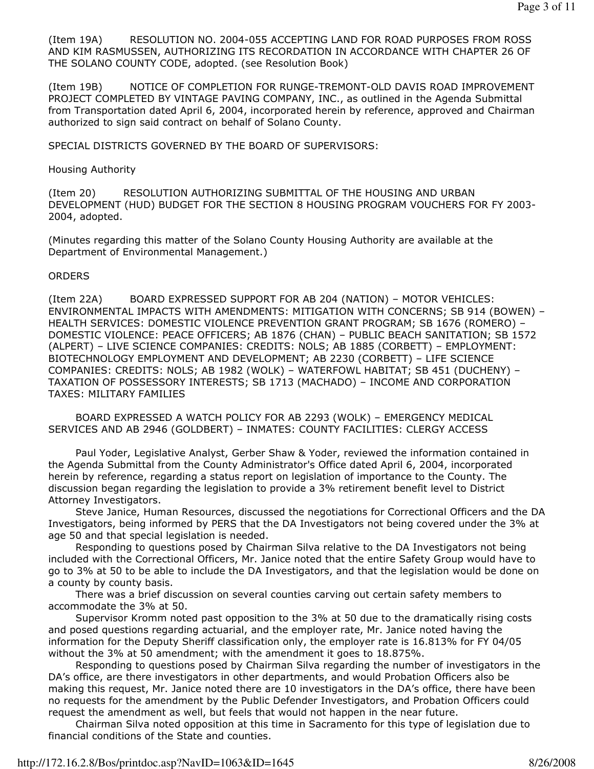(Item 19A) RESOLUTION NO. 2004-055 ACCEPTING LAND FOR ROAD PURPOSES FROM ROSS AND KIM RASMUSSEN, AUTHORIZING ITS RECORDATION IN ACCORDANCE WITH CHAPTER 26 OF THE SOLANO COUNTY CODE, adopted. (see Resolution Book)

(Item 19B) NOTICE OF COMPLETION FOR RUNGE-TREMONT-OLD DAVIS ROAD IMPROVEMENT PROJECT COMPLETED BY VINTAGE PAVING COMPANY, INC., as outlined in the Agenda Submittal from Transportation dated April 6, 2004, incorporated herein by reference, approved and Chairman authorized to sign said contract on behalf of Solano County.

SPECIAL DISTRICTS GOVERNED BY THE BOARD OF SUPERVISORS:

#### Housing Authority

(Item 20) RESOLUTION AUTHORIZING SUBMITTAL OF THE HOUSING AND URBAN DEVELOPMENT (HUD) BUDGET FOR THE SECTION 8 HOUSING PROGRAM VOUCHERS FOR FY 2003- 2004, adopted.

(Minutes regarding this matter of the Solano County Housing Authority are available at the Department of Environmental Management.)

#### **ORDERS**

(Item 22A) BOARD EXPRESSED SUPPORT FOR AB 204 (NATION) – MOTOR VEHICLES: ENVIRONMENTAL IMPACTS WITH AMENDMENTS: MITIGATION WITH CONCERNS; SB 914 (BOWEN) – HEALTH SERVICES: DOMESTIC VIOLENCE PREVENTION GRANT PROGRAM; SB 1676 (ROMERO) – DOMESTIC VIOLENCE: PEACE OFFICERS; AB 1876 (CHAN) – PUBLIC BEACH SANITATION; SB 1572 (ALPERT) – LIVE SCIENCE COMPANIES: CREDITS: NOLS; AB 1885 (CORBETT) – EMPLOYMENT: BIOTECHNOLOGY EMPLOYMENT AND DEVELOPMENT; AB 2230 (CORBETT) – LIFE SCIENCE COMPANIES: CREDITS: NOLS; AB 1982 (WOLK) – WATERFOWL HABITAT; SB 451 (DUCHENY) – TAXATION OF POSSESSORY INTERESTS; SB 1713 (MACHADO) – INCOME AND CORPORATION TAXES: MILITARY FAMILIES

 BOARD EXPRESSED A WATCH POLICY FOR AB 2293 (WOLK) – EMERGENCY MEDICAL SERVICES AND AB 2946 (GOLDBERT) – INMATES: COUNTY FACILITIES: CLERGY ACCESS

 Paul Yoder, Legislative Analyst, Gerber Shaw & Yoder, reviewed the information contained in the Agenda Submittal from the County Administrator's Office dated April 6, 2004, incorporated herein by reference, regarding a status report on legislation of importance to the County. The discussion began regarding the legislation to provide a 3% retirement benefit level to District Attorney Investigators.

 Steve Janice, Human Resources, discussed the negotiations for Correctional Officers and the DA Investigators, being informed by PERS that the DA Investigators not being covered under the 3% at age 50 and that special legislation is needed.

 Responding to questions posed by Chairman Silva relative to the DA Investigators not being included with the Correctional Officers, Mr. Janice noted that the entire Safety Group would have to go to 3% at 50 to be able to include the DA Investigators, and that the legislation would be done on a county by county basis.

 There was a brief discussion on several counties carving out certain safety members to accommodate the 3% at 50.

 Supervisor Kromm noted past opposition to the 3% at 50 due to the dramatically rising costs and posed questions regarding actuarial, and the employer rate, Mr. Janice noted having the information for the Deputy Sheriff classification only, the employer rate is 16.813% for FY 04/05 without the 3% at 50 amendment; with the amendment it goes to 18.875%.

 Responding to questions posed by Chairman Silva regarding the number of investigators in the DA's office, are there investigators in other departments, and would Probation Officers also be making this request, Mr. Janice noted there are 10 investigators in the DA's office, there have been no requests for the amendment by the Public Defender Investigators, and Probation Officers could request the amendment as well, but feels that would not happen in the near future.

 Chairman Silva noted opposition at this time in Sacramento for this type of legislation due to financial conditions of the State and counties.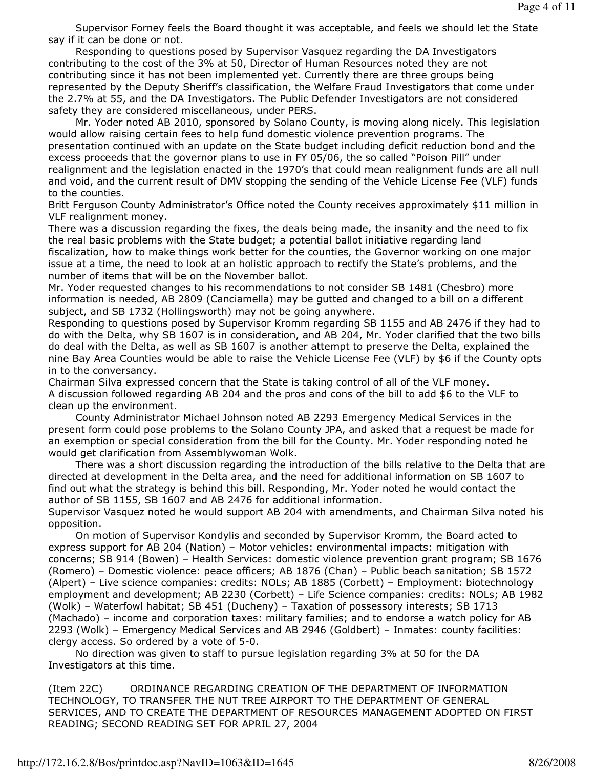Supervisor Forney feels the Board thought it was acceptable, and feels we should let the State say if it can be done or not.

 Responding to questions posed by Supervisor Vasquez regarding the DA Investigators contributing to the cost of the 3% at 50, Director of Human Resources noted they are not contributing since it has not been implemented yet. Currently there are three groups being represented by the Deputy Sheriff's classification, the Welfare Fraud Investigators that come under the 2.7% at 55, and the DA Investigators. The Public Defender Investigators are not considered safety they are considered miscellaneous, under PERS.

 Mr. Yoder noted AB 2010, sponsored by Solano County, is moving along nicely. This legislation would allow raising certain fees to help fund domestic violence prevention programs. The presentation continued with an update on the State budget including deficit reduction bond and the excess proceeds that the governor plans to use in FY 05/06, the so called "Poison Pill" under realignment and the legislation enacted in the 1970's that could mean realignment funds are all null and void, and the current result of DMV stopping the sending of the Vehicle License Fee (VLF) funds to the counties.

Britt Ferguson County Administrator's Office noted the County receives approximately \$11 million in VLF realignment money.

There was a discussion regarding the fixes, the deals being made, the insanity and the need to fix the real basic problems with the State budget; a potential ballot initiative regarding land fiscalization, how to make things work better for the counties, the Governor working on one major issue at a time, the need to look at an holistic approach to rectify the State's problems, and the number of items that will be on the November ballot.

Mr. Yoder requested changes to his recommendations to not consider SB 1481 (Chesbro) more information is needed, AB 2809 (Canciamella) may be gutted and changed to a bill on a different subject, and SB 1732 (Hollingsworth) may not be going anywhere.

Responding to questions posed by Supervisor Kromm regarding SB 1155 and AB 2476 if they had to do with the Delta, why SB 1607 is in consideration, and AB 204, Mr. Yoder clarified that the two bills do deal with the Delta, as well as SB 1607 is another attempt to preserve the Delta, explained the nine Bay Area Counties would be able to raise the Vehicle License Fee (VLF) by \$6 if the County opts in to the conversancy.

Chairman Silva expressed concern that the State is taking control of all of the VLF money. A discussion followed regarding AB 204 and the pros and cons of the bill to add \$6 to the VLF to clean up the environment.

 County Administrator Michael Johnson noted AB 2293 Emergency Medical Services in the present form could pose problems to the Solano County JPA, and asked that a request be made for an exemption or special consideration from the bill for the County. Mr. Yoder responding noted he would get clarification from Assemblywoman Wolk.

 There was a short discussion regarding the introduction of the bills relative to the Delta that are directed at development in the Delta area, and the need for additional information on SB 1607 to find out what the strategy is behind this bill. Responding, Mr. Yoder noted he would contact the author of SB 1155, SB 1607 and AB 2476 for additional information.

Supervisor Vasquez noted he would support AB 204 with amendments, and Chairman Silva noted his opposition.

 On motion of Supervisor Kondylis and seconded by Supervisor Kromm, the Board acted to express support for AB 204 (Nation) – Motor vehicles: environmental impacts: mitigation with concerns; SB 914 (Bowen) – Health Services: domestic violence prevention grant program; SB 1676 (Romero) – Domestic violence: peace officers; AB 1876 (Chan) – Public beach sanitation; SB 1572 (Alpert) – Live science companies: credits: NOLs; AB 1885 (Corbett) – Employment: biotechnology employment and development; AB 2230 (Corbett) – Life Science companies: credits: NOLs; AB 1982 (Wolk) – Waterfowl habitat; SB 451 (Ducheny) – Taxation of possessory interests; SB 1713 (Machado) – income and corporation taxes: military families; and to endorse a watch policy for AB 2293 (Wolk) – Emergency Medical Services and AB 2946 (Goldbert) – Inmates: county facilities: clergy access. So ordered by a vote of 5-0.

 No direction was given to staff to pursue legislation regarding 3% at 50 for the DA Investigators at this time.

(Item 22C) ORDINANCE REGARDING CREATION OF THE DEPARTMENT OF INFORMATION TECHNOLOGY, TO TRANSFER THE NUT TREE AIRPORT TO THE DEPARTMENT OF GENERAL SERVICES, AND TO CREATE THE DEPARTMENT OF RESOURCES MANAGEMENT ADOPTED ON FIRST READING; SECOND READING SET FOR APRIL 27, 2004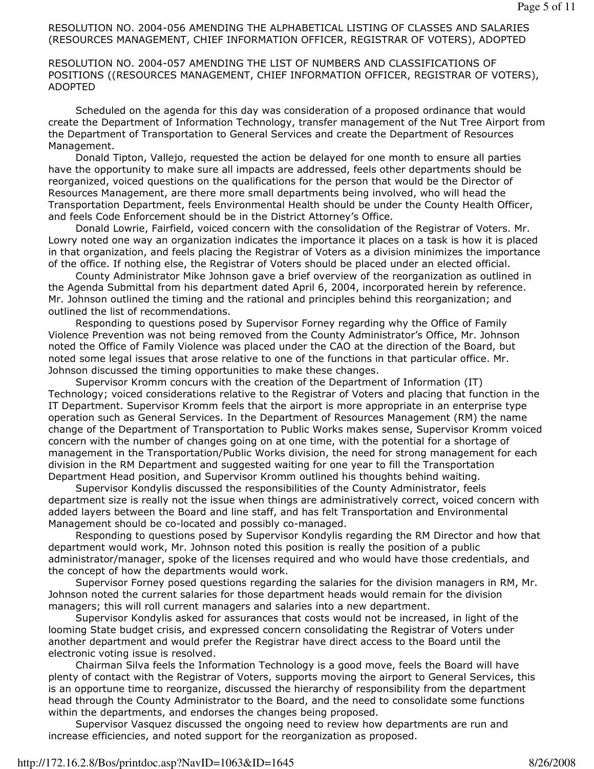## RESOLUTION NO. 2004-056 AMENDING THE ALPHABETICAL LISTING OF CLASSES AND SALARIES (RESOURCES MANAGEMENT, CHIEF INFORMATION OFFICER, REGISTRAR OF VOTERS), ADOPTED

#### RESOLUTION NO. 2004-057 AMENDING THE LIST OF NUMBERS AND CLASSIFICATIONS OF POSITIONS ((RESOURCES MANAGEMENT, CHIEF INFORMATION OFFICER, REGISTRAR OF VOTERS), ADOPTED

 Scheduled on the agenda for this day was consideration of a proposed ordinance that would create the Department of Information Technology, transfer management of the Nut Tree Airport from the Department of Transportation to General Services and create the Department of Resources Management.

 Donald Tipton, Vallejo, requested the action be delayed for one month to ensure all parties have the opportunity to make sure all impacts are addressed, feels other departments should be reorganized, voiced questions on the qualifications for the person that would be the Director of Resources Management, are there more small departments being involved, who will head the Transportation Department, feels Environmental Health should be under the County Health Officer, and feels Code Enforcement should be in the District Attorney's Office.

 Donald Lowrie, Fairfield, voiced concern with the consolidation of the Registrar of Voters. Mr. Lowry noted one way an organization indicates the importance it places on a task is how it is placed in that organization, and feels placing the Registrar of Voters as a division minimizes the importance of the office. If nothing else, the Registrar of Voters should be placed under an elected official.

 County Administrator Mike Johnson gave a brief overview of the reorganization as outlined in the Agenda Submittal from his department dated April 6, 2004, incorporated herein by reference. Mr. Johnson outlined the timing and the rational and principles behind this reorganization; and outlined the list of recommendations.

 Responding to questions posed by Supervisor Forney regarding why the Office of Family Violence Prevention was not being removed from the County Administrator's Office, Mr. Johnson noted the Office of Family Violence was placed under the CAO at the direction of the Board, but noted some legal issues that arose relative to one of the functions in that particular office. Mr. Johnson discussed the timing opportunities to make these changes.

 Supervisor Kromm concurs with the creation of the Department of Information (IT) Technology; voiced considerations relative to the Registrar of Voters and placing that function in the IT Department. Supervisor Kromm feels that the airport is more appropriate in an enterprise type operation such as General Services. In the Department of Resources Management (RM) the name change of the Department of Transportation to Public Works makes sense, Supervisor Kromm voiced concern with the number of changes going on at one time, with the potential for a shortage of management in the Transportation/Public Works division, the need for strong management for each division in the RM Department and suggested waiting for one year to fill the Transportation Department Head position, and Supervisor Kromm outlined his thoughts behind waiting.

 Supervisor Kondylis discussed the responsibilities of the County Administrator, feels department size is really not the issue when things are administratively correct, voiced concern with added layers between the Board and line staff, and has felt Transportation and Environmental Management should be co-located and possibly co-managed.

 Responding to questions posed by Supervisor Kondylis regarding the RM Director and how that department would work, Mr. Johnson noted this position is really the position of a public administrator/manager, spoke of the licenses required and who would have those credentials, and the concept of how the departments would work.

 Supervisor Forney posed questions regarding the salaries for the division managers in RM, Mr. Johnson noted the current salaries for those department heads would remain for the division managers; this will roll current managers and salaries into a new department.

 Supervisor Kondylis asked for assurances that costs would not be increased, in light of the looming State budget crisis, and expressed concern consolidating the Registrar of Voters under another department and would prefer the Registrar have direct access to the Board until the electronic voting issue is resolved.

 Chairman Silva feels the Information Technology is a good move, feels the Board will have plenty of contact with the Registrar of Voters, supports moving the airport to General Services, this is an opportune time to reorganize, discussed the hierarchy of responsibility from the department head through the County Administrator to the Board, and the need to consolidate some functions within the departments, and endorses the changes being proposed.

 Supervisor Vasquez discussed the ongoing need to review how departments are run and increase efficiencies, and noted support for the reorganization as proposed.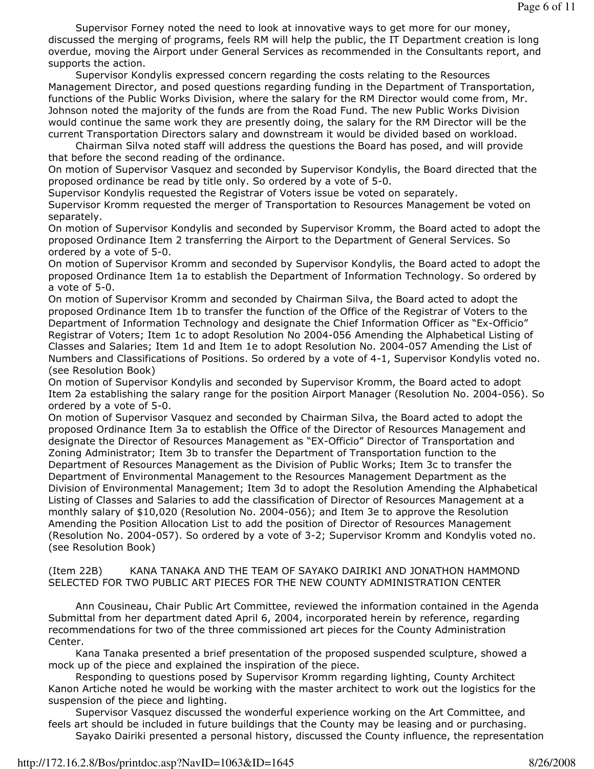Supervisor Forney noted the need to look at innovative ways to get more for our money, discussed the merging of programs, feels RM will help the public, the IT Department creation is long overdue, moving the Airport under General Services as recommended in the Consultants report, and supports the action.

 Supervisor Kondylis expressed concern regarding the costs relating to the Resources Management Director, and posed questions regarding funding in the Department of Transportation, functions of the Public Works Division, where the salary for the RM Director would come from, Mr. Johnson noted the majority of the funds are from the Road Fund. The new Public Works Division would continue the same work they are presently doing, the salary for the RM Director will be the current Transportation Directors salary and downstream it would be divided based on workload.

 Chairman Silva noted staff will address the questions the Board has posed, and will provide that before the second reading of the ordinance.

On motion of Supervisor Vasquez and seconded by Supervisor Kondylis, the Board directed that the proposed ordinance be read by title only. So ordered by a vote of 5-0.

Supervisor Kondylis requested the Registrar of Voters issue be voted on separately.

Supervisor Kromm requested the merger of Transportation to Resources Management be voted on separately.

On motion of Supervisor Kondylis and seconded by Supervisor Kromm, the Board acted to adopt the proposed Ordinance Item 2 transferring the Airport to the Department of General Services. So ordered by a vote of 5-0.

On motion of Supervisor Kromm and seconded by Supervisor Kondylis, the Board acted to adopt the proposed Ordinance Item 1a to establish the Department of Information Technology. So ordered by a vote of 5-0.

On motion of Supervisor Kromm and seconded by Chairman Silva, the Board acted to adopt the proposed Ordinance Item 1b to transfer the function of the Office of the Registrar of Voters to the Department of Information Technology and designate the Chief Information Officer as "Ex-Officio" Registrar of Voters; Item 1c to adopt Resolution No 2004-056 Amending the Alphabetical Listing of Classes and Salaries; Item 1d and Item 1e to adopt Resolution No. 2004-057 Amending the List of Numbers and Classifications of Positions. So ordered by a vote of 4-1, Supervisor Kondylis voted no. (see Resolution Book)

On motion of Supervisor Kondylis and seconded by Supervisor Kromm, the Board acted to adopt Item 2a establishing the salary range for the position Airport Manager (Resolution No. 2004-056). So ordered by a vote of 5-0.

On motion of Supervisor Vasquez and seconded by Chairman Silva, the Board acted to adopt the proposed Ordinance Item 3a to establish the Office of the Director of Resources Management and designate the Director of Resources Management as "EX-Officio" Director of Transportation and Zoning Administrator; Item 3b to transfer the Department of Transportation function to the Department of Resources Management as the Division of Public Works; Item 3c to transfer the Department of Environmental Management to the Resources Management Department as the Division of Environmental Management; Item 3d to adopt the Resolution Amending the Alphabetical Listing of Classes and Salaries to add the classification of Director of Resources Management at a monthly salary of \$10,020 (Resolution No. 2004-056); and Item 3e to approve the Resolution Amending the Position Allocation List to add the position of Director of Resources Management (Resolution No. 2004-057). So ordered by a vote of 3-2; Supervisor Kromm and Kondylis voted no. (see Resolution Book)

(Item 22B) KANA TANAKA AND THE TEAM OF SAYAKO DAIRIKI AND JONATHON HAMMOND SELECTED FOR TWO PUBLIC ART PIECES FOR THE NEW COUNTY ADMINISTRATION CENTER

 Ann Cousineau, Chair Public Art Committee, reviewed the information contained in the Agenda Submittal from her department dated April 6, 2004, incorporated herein by reference, regarding recommendations for two of the three commissioned art pieces for the County Administration Center.

 Kana Tanaka presented a brief presentation of the proposed suspended sculpture, showed a mock up of the piece and explained the inspiration of the piece.

 Responding to questions posed by Supervisor Kromm regarding lighting, County Architect Kanon Artiche noted he would be working with the master architect to work out the logistics for the suspension of the piece and lighting.

 Supervisor Vasquez discussed the wonderful experience working on the Art Committee, and feels art should be included in future buildings that the County may be leasing and or purchasing. Sayako Dairiki presented a personal history, discussed the County influence, the representation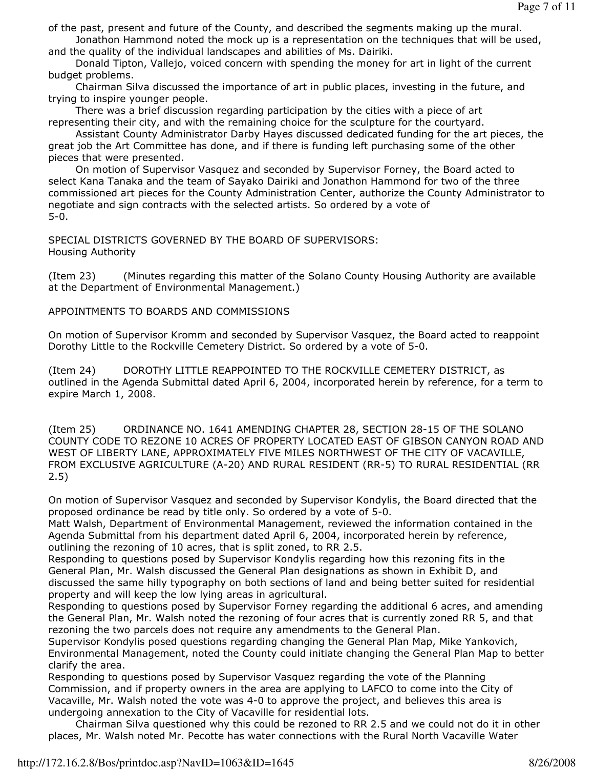of the past, present and future of the County, and described the segments making up the mural.

 Jonathon Hammond noted the mock up is a representation on the techniques that will be used, and the quality of the individual landscapes and abilities of Ms. Dairiki.

 Donald Tipton, Vallejo, voiced concern with spending the money for art in light of the current budget problems.

 Chairman Silva discussed the importance of art in public places, investing in the future, and trying to inspire younger people.

 There was a brief discussion regarding participation by the cities with a piece of art representing their city, and with the remaining choice for the sculpture for the courtyard.

 Assistant County Administrator Darby Hayes discussed dedicated funding for the art pieces, the great job the Art Committee has done, and if there is funding left purchasing some of the other pieces that were presented.

 On motion of Supervisor Vasquez and seconded by Supervisor Forney, the Board acted to select Kana Tanaka and the team of Sayako Dairiki and Jonathon Hammond for two of the three commissioned art pieces for the County Administration Center, authorize the County Administrator to negotiate and sign contracts with the selected artists. So ordered by a vote of 5-0.

SPECIAL DISTRICTS GOVERNED BY THE BOARD OF SUPERVISORS: Housing Authority

(Item 23) (Minutes regarding this matter of the Solano County Housing Authority are available at the Department of Environmental Management.)

## APPOINTMENTS TO BOARDS AND COMMISSIONS

On motion of Supervisor Kromm and seconded by Supervisor Vasquez, the Board acted to reappoint Dorothy Little to the Rockville Cemetery District. So ordered by a vote of 5-0.

(Item 24) DOROTHY LITTLE REAPPOINTED TO THE ROCKVILLE CEMETERY DISTRICT, as outlined in the Agenda Submittal dated April 6, 2004, incorporated herein by reference, for a term to expire March 1, 2008.

(Item 25) ORDINANCE NO. 1641 AMENDING CHAPTER 28, SECTION 28-15 OF THE SOLANO COUNTY CODE TO REZONE 10 ACRES OF PROPERTY LOCATED EAST OF GIBSON CANYON ROAD AND WEST OF LIBERTY LANE, APPROXIMATELY FIVE MILES NORTHWEST OF THE CITY OF VACAVILLE, FROM EXCLUSIVE AGRICULTURE (A-20) AND RURAL RESIDENT (RR-5) TO RURAL RESIDENTIAL (RR 2.5)

On motion of Supervisor Vasquez and seconded by Supervisor Kondylis, the Board directed that the proposed ordinance be read by title only. So ordered by a vote of 5-0.

Matt Walsh, Department of Environmental Management, reviewed the information contained in the Agenda Submittal from his department dated April 6, 2004, incorporated herein by reference, outlining the rezoning of 10 acres, that is split zoned, to RR 2.5.

Responding to questions posed by Supervisor Kondylis regarding how this rezoning fits in the General Plan, Mr. Walsh discussed the General Plan designations as shown in Exhibit D, and discussed the same hilly typography on both sections of land and being better suited for residential property and will keep the low lying areas in agricultural.

Responding to questions posed by Supervisor Forney regarding the additional 6 acres, and amending the General Plan, Mr. Walsh noted the rezoning of four acres that is currently zoned RR 5, and that rezoning the two parcels does not require any amendments to the General Plan.

Supervisor Kondylis posed questions regarding changing the General Plan Map, Mike Yankovich, Environmental Management, noted the County could initiate changing the General Plan Map to better clarify the area.

Responding to questions posed by Supervisor Vasquez regarding the vote of the Planning Commission, and if property owners in the area are applying to LAFCO to come into the City of Vacaville, Mr. Walsh noted the vote was 4-0 to approve the project, and believes this area is undergoing annexation to the City of Vacaville for residential lots.

 Chairman Silva questioned why this could be rezoned to RR 2.5 and we could not do it in other places, Mr. Walsh noted Mr. Pecotte has water connections with the Rural North Vacaville Water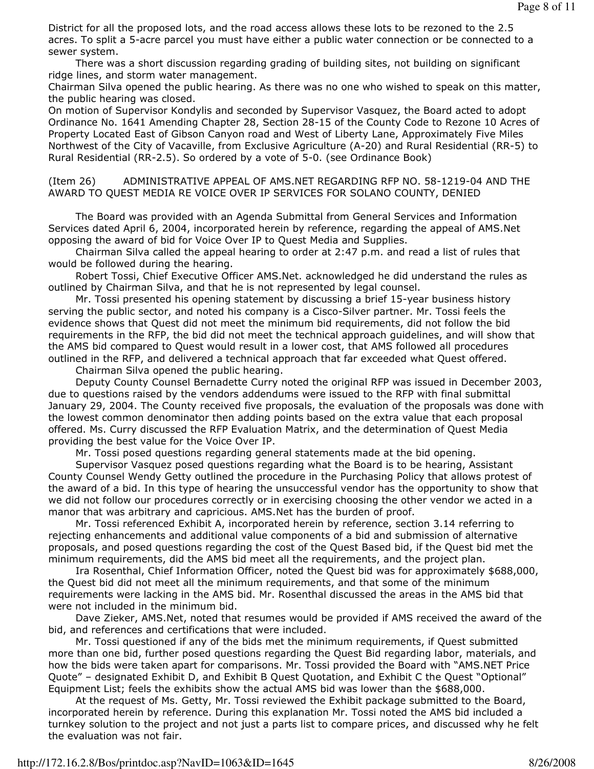District for all the proposed lots, and the road access allows these lots to be rezoned to the 2.5 acres. To split a 5-acre parcel you must have either a public water connection or be connected to a sewer system.

 There was a short discussion regarding grading of building sites, not building on significant ridge lines, and storm water management.

Chairman Silva opened the public hearing. As there was no one who wished to speak on this matter, the public hearing was closed.

On motion of Supervisor Kondylis and seconded by Supervisor Vasquez, the Board acted to adopt Ordinance No. 1641 Amending Chapter 28, Section 28-15 of the County Code to Rezone 10 Acres of Property Located East of Gibson Canyon road and West of Liberty Lane, Approximately Five Miles Northwest of the City of Vacaville, from Exclusive Agriculture (A-20) and Rural Residential (RR-5) to Rural Residential (RR-2.5). So ordered by a vote of 5-0. (see Ordinance Book)

(Item 26) ADMINISTRATIVE APPEAL OF AMS.NET REGARDING RFP NO. 58-1219-04 AND THE AWARD TO QUEST MEDIA RE VOICE OVER IP SERVICES FOR SOLANO COUNTY, DENIED

 The Board was provided with an Agenda Submittal from General Services and Information Services dated April 6, 2004, incorporated herein by reference, regarding the appeal of AMS.Net opposing the award of bid for Voice Over IP to Quest Media and Supplies.

 Chairman Silva called the appeal hearing to order at 2:47 p.m. and read a list of rules that would be followed during the hearing.

 Robert Tossi, Chief Executive Officer AMS.Net. acknowledged he did understand the rules as outlined by Chairman Silva, and that he is not represented by legal counsel.

 Mr. Tossi presented his opening statement by discussing a brief 15-year business history serving the public sector, and noted his company is a Cisco-Silver partner. Mr. Tossi feels the evidence shows that Quest did not meet the minimum bid requirements, did not follow the bid requirements in the RFP, the bid did not meet the technical approach guidelines, and will show that the AMS bid compared to Quest would result in a lower cost, that AMS followed all procedures outlined in the RFP, and delivered a technical approach that far exceeded what Quest offered.

Chairman Silva opened the public hearing.

 Deputy County Counsel Bernadette Curry noted the original RFP was issued in December 2003, due to questions raised by the vendors addendums were issued to the RFP with final submittal January 29, 2004. The County received five proposals, the evaluation of the proposals was done with the lowest common denominator then adding points based on the extra value that each proposal offered. Ms. Curry discussed the RFP Evaluation Matrix, and the determination of Quest Media providing the best value for the Voice Over IP.

Mr. Tossi posed questions regarding general statements made at the bid opening.

 Supervisor Vasquez posed questions regarding what the Board is to be hearing, Assistant County Counsel Wendy Getty outlined the procedure in the Purchasing Policy that allows protest of the award of a bid. In this type of hearing the unsuccessful vendor has the opportunity to show that we did not follow our procedures correctly or in exercising choosing the other vendor we acted in a manor that was arbitrary and capricious. AMS.Net has the burden of proof.

 Mr. Tossi referenced Exhibit A, incorporated herein by reference, section 3.14 referring to rejecting enhancements and additional value components of a bid and submission of alternative proposals, and posed questions regarding the cost of the Quest Based bid, if the Quest bid met the minimum requirements, did the AMS bid meet all the requirements, and the project plan.

 Ira Rosenthal, Chief Information Officer, noted the Quest bid was for approximately \$688,000, the Quest bid did not meet all the minimum requirements, and that some of the minimum requirements were lacking in the AMS bid. Mr. Rosenthal discussed the areas in the AMS bid that were not included in the minimum bid.

 Dave Zieker, AMS.Net, noted that resumes would be provided if AMS received the award of the bid, and references and certifications that were included.

 Mr. Tossi questioned if any of the bids met the minimum requirements, if Quest submitted more than one bid, further posed questions regarding the Quest Bid regarding labor, materials, and how the bids were taken apart for comparisons. Mr. Tossi provided the Board with "AMS.NET Price Quote" – designated Exhibit D, and Exhibit B Quest Quotation, and Exhibit C the Quest "Optional" Equipment List; feels the exhibits show the actual AMS bid was lower than the \$688,000.

 At the request of Ms. Getty, Mr. Tossi reviewed the Exhibit package submitted to the Board, incorporated herein by reference. During this explanation Mr. Tossi noted the AMS bid included a turnkey solution to the project and not just a parts list to compare prices, and discussed why he felt the evaluation was not fair.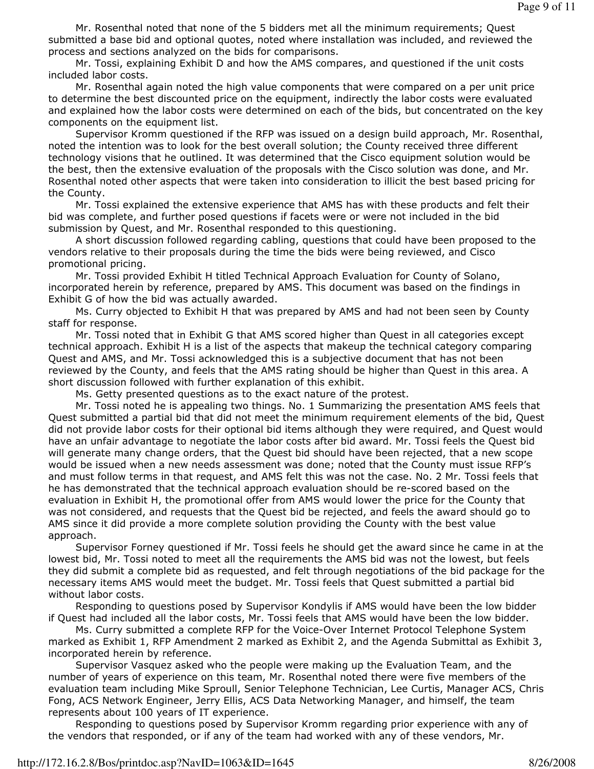Mr. Rosenthal noted that none of the 5 bidders met all the minimum requirements; Quest submitted a base bid and optional quotes, noted where installation was included, and reviewed the process and sections analyzed on the bids for comparisons.

 Mr. Tossi, explaining Exhibit D and how the AMS compares, and questioned if the unit costs included labor costs.

 Mr. Rosenthal again noted the high value components that were compared on a per unit price to determine the best discounted price on the equipment, indirectly the labor costs were evaluated and explained how the labor costs were determined on each of the bids, but concentrated on the key components on the equipment list.

 Supervisor Kromm questioned if the RFP was issued on a design build approach, Mr. Rosenthal, noted the intention was to look for the best overall solution; the County received three different technology visions that he outlined. It was determined that the Cisco equipment solution would be the best, then the extensive evaluation of the proposals with the Cisco solution was done, and Mr. Rosenthal noted other aspects that were taken into consideration to illicit the best based pricing for the County.

 Mr. Tossi explained the extensive experience that AMS has with these products and felt their bid was complete, and further posed questions if facets were or were not included in the bid submission by Quest, and Mr. Rosenthal responded to this questioning.

 A short discussion followed regarding cabling, questions that could have been proposed to the vendors relative to their proposals during the time the bids were being reviewed, and Cisco promotional pricing.

 Mr. Tossi provided Exhibit H titled Technical Approach Evaluation for County of Solano, incorporated herein by reference, prepared by AMS. This document was based on the findings in Exhibit G of how the bid was actually awarded.

 Ms. Curry objected to Exhibit H that was prepared by AMS and had not been seen by County staff for response.

 Mr. Tossi noted that in Exhibit G that AMS scored higher than Quest in all categories except technical approach. Exhibit H is a list of the aspects that makeup the technical category comparing Quest and AMS, and Mr. Tossi acknowledged this is a subjective document that has not been reviewed by the County, and feels that the AMS rating should be higher than Quest in this area. A short discussion followed with further explanation of this exhibit.

Ms. Getty presented questions as to the exact nature of the protest.

 Mr. Tossi noted he is appealing two things. No. 1 Summarizing the presentation AMS feels that Quest submitted a partial bid that did not meet the minimum requirement elements of the bid, Quest did not provide labor costs for their optional bid items although they were required, and Quest would have an unfair advantage to negotiate the labor costs after bid award. Mr. Tossi feels the Quest bid will generate many change orders, that the Quest bid should have been rejected, that a new scope would be issued when a new needs assessment was done; noted that the County must issue RFP's and must follow terms in that request, and AMS felt this was not the case. No. 2 Mr. Tossi feels that he has demonstrated that the technical approach evaluation should be re-scored based on the evaluation in Exhibit H, the promotional offer from AMS would lower the price for the County that was not considered, and requests that the Quest bid be rejected, and feels the award should go to AMS since it did provide a more complete solution providing the County with the best value approach.

 Supervisor Forney questioned if Mr. Tossi feels he should get the award since he came in at the lowest bid, Mr. Tossi noted to meet all the requirements the AMS bid was not the lowest, but feels they did submit a complete bid as requested, and felt through negotiations of the bid package for the necessary items AMS would meet the budget. Mr. Tossi feels that Quest submitted a partial bid without labor costs.

 Responding to questions posed by Supervisor Kondylis if AMS would have been the low bidder if Quest had included all the labor costs, Mr. Tossi feels that AMS would have been the low bidder.

 Ms. Curry submitted a complete RFP for the Voice-Over Internet Protocol Telephone System marked as Exhibit 1, RFP Amendment 2 marked as Exhibit 2, and the Agenda Submittal as Exhibit 3, incorporated herein by reference.

 Supervisor Vasquez asked who the people were making up the Evaluation Team, and the number of years of experience on this team, Mr. Rosenthal noted there were five members of the evaluation team including Mike Sproull, Senior Telephone Technician, Lee Curtis, Manager ACS, Chris Fong, ACS Network Engineer, Jerry Ellis, ACS Data Networking Manager, and himself, the team represents about 100 years of IT experience.

 Responding to questions posed by Supervisor Kromm regarding prior experience with any of the vendors that responded, or if any of the team had worked with any of these vendors, Mr.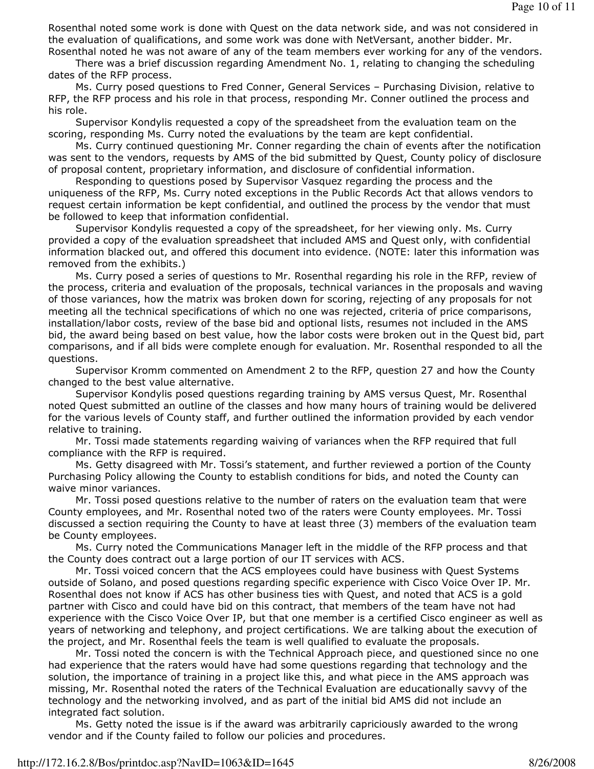Rosenthal noted some work is done with Quest on the data network side, and was not considered in the evaluation of qualifications, and some work was done with NetVersant, another bidder. Mr. Rosenthal noted he was not aware of any of the team members ever working for any of the vendors.

 There was a brief discussion regarding Amendment No. 1, relating to changing the scheduling dates of the RFP process.

 Ms. Curry posed questions to Fred Conner, General Services – Purchasing Division, relative to RFP, the RFP process and his role in that process, responding Mr. Conner outlined the process and his role.

 Supervisor Kondylis requested a copy of the spreadsheet from the evaluation team on the scoring, responding Ms. Curry noted the evaluations by the team are kept confidential.

 Ms. Curry continued questioning Mr. Conner regarding the chain of events after the notification was sent to the vendors, requests by AMS of the bid submitted by Quest, County policy of disclosure of proposal content, proprietary information, and disclosure of confidential information.

 Responding to questions posed by Supervisor Vasquez regarding the process and the uniqueness of the RFP, Ms. Curry noted exceptions in the Public Records Act that allows vendors to request certain information be kept confidential, and outlined the process by the vendor that must be followed to keep that information confidential.

 Supervisor Kondylis requested a copy of the spreadsheet, for her viewing only. Ms. Curry provided a copy of the evaluation spreadsheet that included AMS and Quest only, with confidential information blacked out, and offered this document into evidence. (NOTE: later this information was removed from the exhibits.)

 Ms. Curry posed a series of questions to Mr. Rosenthal regarding his role in the RFP, review of the process, criteria and evaluation of the proposals, technical variances in the proposals and waving of those variances, how the matrix was broken down for scoring, rejecting of any proposals for not meeting all the technical specifications of which no one was rejected, criteria of price comparisons, installation/labor costs, review of the base bid and optional lists, resumes not included in the AMS bid, the award being based on best value, how the labor costs were broken out in the Quest bid, part comparisons, and if all bids were complete enough for evaluation. Mr. Rosenthal responded to all the questions.

 Supervisor Kromm commented on Amendment 2 to the RFP, question 27 and how the County changed to the best value alternative.

 Supervisor Kondylis posed questions regarding training by AMS versus Quest, Mr. Rosenthal noted Quest submitted an outline of the classes and how many hours of training would be delivered for the various levels of County staff, and further outlined the information provided by each vendor relative to training.

 Mr. Tossi made statements regarding waiving of variances when the RFP required that full compliance with the RFP is required.

 Ms. Getty disagreed with Mr. Tossi's statement, and further reviewed a portion of the County Purchasing Policy allowing the County to establish conditions for bids, and noted the County can waive minor variances.

 Mr. Tossi posed questions relative to the number of raters on the evaluation team that were County employees, and Mr. Rosenthal noted two of the raters were County employees. Mr. Tossi discussed a section requiring the County to have at least three (3) members of the evaluation team be County employees.

 Ms. Curry noted the Communications Manager left in the middle of the RFP process and that the County does contract out a large portion of our IT services with ACS.

 Mr. Tossi voiced concern that the ACS employees could have business with Quest Systems outside of Solano, and posed questions regarding specific experience with Cisco Voice Over IP. Mr. Rosenthal does not know if ACS has other business ties with Quest, and noted that ACS is a gold partner with Cisco and could have bid on this contract, that members of the team have not had experience with the Cisco Voice Over IP, but that one member is a certified Cisco engineer as well as years of networking and telephony, and project certifications. We are talking about the execution of the project, and Mr. Rosenthal feels the team is well qualified to evaluate the proposals.

 Mr. Tossi noted the concern is with the Technical Approach piece, and questioned since no one had experience that the raters would have had some questions regarding that technology and the solution, the importance of training in a project like this, and what piece in the AMS approach was missing, Mr. Rosenthal noted the raters of the Technical Evaluation are educationally savvy of the technology and the networking involved, and as part of the initial bid AMS did not include an integrated fact solution.

 Ms. Getty noted the issue is if the award was arbitrarily capriciously awarded to the wrong vendor and if the County failed to follow our policies and procedures.